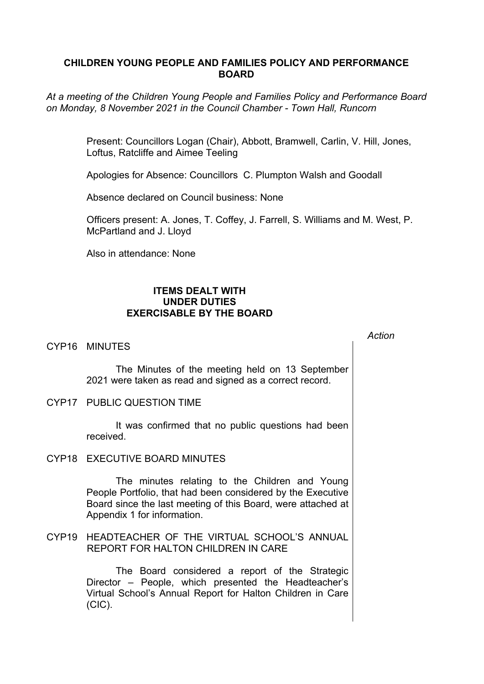# **CHILDREN YOUNG PEOPLE AND FAMILIES POLICY AND PERFORMANCE BOARD**

*At a meeting of the Children Young People and Families Policy and Performance Board on Monday, 8 November 2021 in the Council Chamber - Town Hall, Runcorn*

> Present: Councillors Logan (Chair), Abbott, Bramwell, Carlin, V. Hill, Jones, Loftus, Ratcliffe and Aimee Teeling

Apologies for Absence: Councillors C. Plumpton Walsh and Goodall

Absence declared on Council business: None

Officers present: A. Jones, T. Coffey, J. Farrell, S. Williams and M. West, P. McPartland and J. Lloyd

Also in attendance: None

# **ITEMS DEALT WITH UNDER DUTIES EXERCISABLE BY THE BOARD**

### CYP16 MINUTES

The Minutes of the meeting held on 13 September 2021 were taken as read and signed as a correct record.

#### CYP17 PUBLIC QUESTION TIME

It was confirmed that no public questions had been received.

## CYP18 EXECUTIVE BOARD MINUTES

The minutes relating to the Children and Young People Portfolio, that had been considered by the Executive Board since the last meeting of this Board, were attached at Appendix 1 for information.

## CYP19 HEADTEACHER OF THE VIRTUAL SCHOOL'S ANNUAL REPORT FOR HALTON CHILDREN IN CARE

The Board considered a report of the Strategic Director – People, which presented the Headteacher's Virtual School's Annual Report for Halton Children in Care (CIC).

*Action*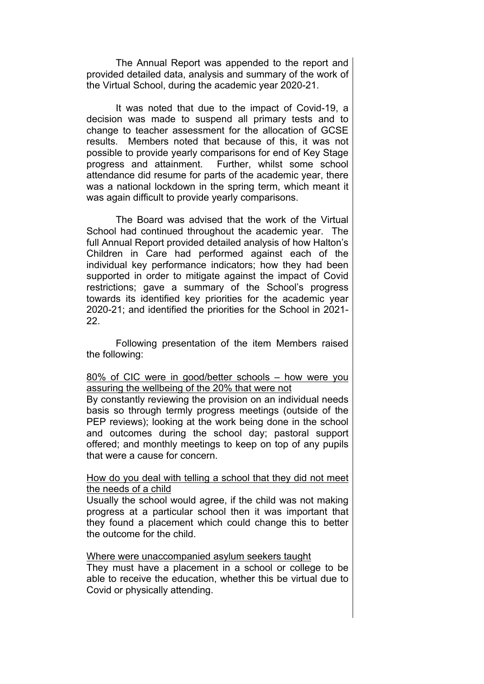The Annual Report was appended to the report and provided detailed data, analysis and summary of the work of the Virtual School, during the academic year 2020-21.

It was noted that due to the impact of Covid-19, a decision was made to suspend all primary tests and to change to teacher assessment for the allocation of GCSE results. Members noted that because of this, it was not possible to provide yearly comparisons for end of Key Stage progress and attainment. Further, whilst some school attendance did resume for parts of the academic year, there was a national lockdown in the spring term, which meant it was again difficult to provide yearly comparisons.

The Board was advised that the work of the Virtual School had continued throughout the academic year. The full Annual Report provided detailed analysis of how Halton's Children in Care had performed against each of the individual key performance indicators; how they had been supported in order to mitigate against the impact of Covid restrictions; gave a summary of the School's progress towards its identified key priorities for the academic year 2020-21; and identified the priorities for the School in 2021- 22.

Following presentation of the item Members raised the following:

#### 80% of CIC were in good/better schools – how were you assuring the wellbeing of the 20% that were not

By constantly reviewing the provision on an individual needs basis so through termly progress meetings (outside of the PEP reviews); looking at the work being done in the school and outcomes during the school day; pastoral support offered; and monthly meetings to keep on top of any pupils that were a cause for concern.

#### How do you deal with telling a school that they did not meet the needs of a child

Usually the school would agree, if the child was not making progress at a particular school then it was important that they found a placement which could change this to better the outcome for the child.

#### Where were unaccompanied asylum seekers taught

They must have a placement in a school or college to be able to receive the education, whether this be virtual due to Covid or physically attending.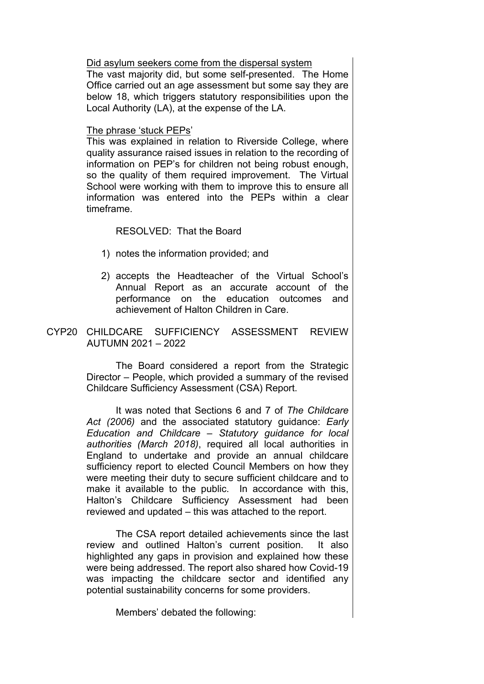Did asylum seekers come from the dispersal system

The vast majority did, but some self-presented. The Home Office carried out an age assessment but some say they are below 18, which triggers statutory responsibilities upon the Local Authority (LA), at the expense of the LA.

#### The phrase 'stuck PEPs'

This was explained in relation to Riverside College, where quality assurance raised issues in relation to the recording of information on PEP's for children not being robust enough, so the quality of them required improvement. The Virtual School were working with them to improve this to ensure all information was entered into the PEPs within a clear timeframe.

## RESOLVED: That the Board

- 1) notes the information provided; and
- 2) accepts the Headteacher of the Virtual School's Annual Report as an accurate account of the performance on the education outcomes and achievement of Halton Children in Care.
- CYP20 CHILDCARE SUFFICIENCY ASSESSMENT REVIEW AUTUMN 2021 – 2022

The Board considered a report from the Strategic Director – People, which provided a summary of the revised Childcare Sufficiency Assessment (CSA) Report.

It was noted that Sections 6 and 7 of *The Childcare Act (2006)* and the associated statutory guidance: *Early Education and Childcare – Statutory guidance for local authorities (March 2018)*, required all local authorities in England to undertake and provide an annual childcare sufficiency report to elected Council Members on how they were meeting their duty to secure sufficient childcare and to make it available to the public. In accordance with this, Halton's Childcare Sufficiency Assessment had been reviewed and updated – this was attached to the report.

The CSA report detailed achievements since the last review and outlined Halton's current position. It also highlighted any gaps in provision and explained how these were being addressed. The report also shared how Covid-19 was impacting the childcare sector and identified any potential sustainability concerns for some providers.

Members' debated the following: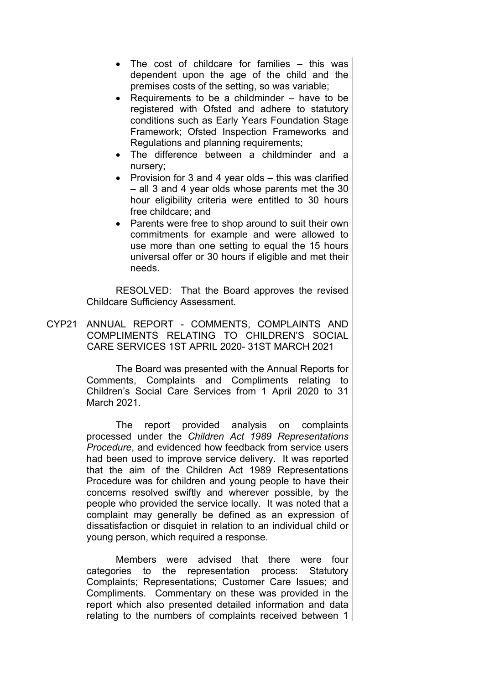- The cost of childcare for families this was dependent upon the age of the child and the premises costs of the setting, so was variable;
- Requirements to be a childminder  $-$  have to be registered with Ofsted and adhere to statutory conditions such as Early Years Foundation Stage Framework; Ofsted Inspection Frameworks and Regulations and planning requirements;
- The difference between a childminder and a nursery;
- Provision for 3 and 4 year olds  $-$  this was clarified – all 3 and 4 year olds whose parents met the 30 hour eligibility criteria were entitled to 30 hours free childcare; and
- Parents were free to shop around to suit their own commitments for example and were allowed to use more than one setting to equal the 15 hours universal offer or 30 hours if eligible and met their needs.

RESOLVED: That the Board approves the revised Childcare Sufficiency Assessment.

CYP21 ANNUAL REPORT - COMMENTS, COMPLAINTS AND COMPLIMENTS RELATING TO CHILDREN'S SOCIAL CARE SERVICES 1ST APRIL 2020- 31ST MARCH 2021

> The Board was presented with the Annual Reports for Comments, Complaints and Compliments relating to Children's Social Care Services from 1 April 2020 to 31 March 2021.

> The report provided analysis on complaints processed under the *Children Act 1989 Representations Procedure*, and evidenced how feedback from service users had been used to improve service delivery. It was reported that the aim of the Children Act 1989 Representations Procedure was for children and young people to have their concerns resolved swiftly and wherever possible, by the people who provided the service locally. It was noted that a complaint may generally be defined as an expression of dissatisfaction or disquiet in relation to an individual child or young person, which required a response.

> Members were advised that there were four categories to the representation process: Statutory Complaints; Representations; Customer Care Issues; and Compliments. Commentary on these was provided in the report which also presented detailed information and data relating to the numbers of complaints received between 1